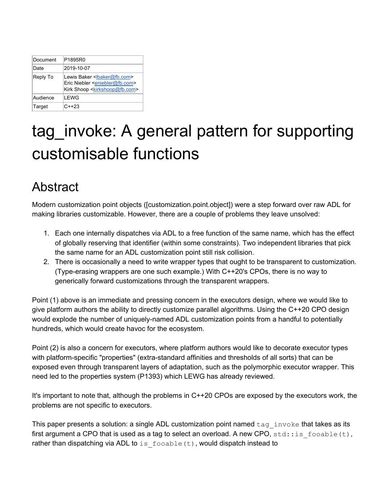| Document | P1895R0                                                                                                                                               |
|----------|-------------------------------------------------------------------------------------------------------------------------------------------------------|
| Date     | 2019-10-07                                                                                                                                            |
| Reply To | Lewis Baker <lbaker@fb.com><br/>Eric Niebler <eniebler@fb.com><br/>Kirk Shoop <kirkshoop@fb.com></kirkshoop@fb.com></eniebler@fb.com></lbaker@fb.com> |
| Audience | I FWG                                                                                                                                                 |
| Target   | $C++23$                                                                                                                                               |

# tag\_invoke: A general pattern for supporting customisable functions

## Abstract

Modern customization point objects ([customization.point.object]) were a step forward over raw ADL for making libraries customizable. However, there are a couple of problems they leave unsolved:

- 1. Each one internally dispatches via ADL to a free function of the same name, which has the effect of globally reserving that identifier (within some constraints). Two independent libraries that pick the same name for an ADL customization point still risk collision.
- 2. There is occasionally a need to write wrapper types that ought to be transparent to customization. (Type-erasing wrappers are one such example.) With C++20's CPOs, there is no way to generically forward customizations through the transparent wrappers.

Point (1) above is an immediate and pressing concern in the executors design, where we would like to give platform authors the ability to directly customize parallel algorithms. Using the C++20 CPO design would explode the number of uniquely-named ADL customization points from a handful to potentially hundreds, which would create havoc for the ecosystem.

Point (2) is also a concern for executors, where platform authors would like to decorate executor types with platform-specific "properties" (extra-standard affinities and thresholds of all sorts) that can be exposed even through transparent layers of adaptation, such as the polymorphic executor wrapper. This need led to the properties system (P1393) which LEWG has already reviewed.

It's important to note that, although the problems in C++20 CPOs are exposed by the executors work, the problems are not specific to executors.

This paper presents a solution: a single ADL customization point named  $tan$  invoke that takes as its first argument a CPO that is used as a tag to select an overload. A new CPO,  $std:is$  fooable(t), rather than dispatching via ADL to is  $f \circ \circ a b \cdot b$  (t), would dispatch instead to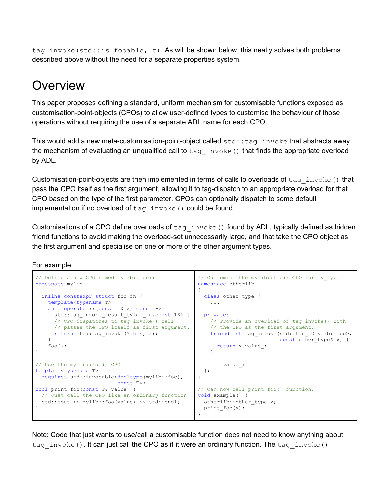tag invoke(std::is fooable, t). As will be shown below, this neatly solves both problems described above without the need for a separate properties system.

## **Overview**

This paper proposes defining a standard, uniform mechanism for customisable functions exposed as customisation-point-objects (CPOs) to allow user-defined types to customise the behaviour of those operations without requiring the use of a separate ADL name for each CPO.

This would add a new meta-customisation-point-object called  $\text{std}$ :  $\text{tag}$  invoke that abstracts away the mechanism of evaluating an unqualified call to  $tan$  invoke() that finds the appropriate overload by ADL.

Customisation-point-objects are then implemented in terms of calls to overloads of  $taq\_invoke()$  that pass the CPO itself as the first argument, allowing it to tag-dispatch to an appropriate overload for that CPO based on the type of the first parameter. CPOs can optionally dispatch to some default implementation if no overload of tag invoke() could be found.

Customisations of a CPO define overloads of tag invoke() found by ADL, typically defined as hidden friend functions to avoid making the overload-set unnecessarily large, and that take the CPO object as the first argument and specialise on one or more of the other argument types.

#### For example:

```
// Define a new CPO named mylib::foo()
namespace mylib
{
 inline constexpr struct foo_fn {
   template<typename T>
   auto operator()(const T& x) const ->
     std::tag_invoke_result_t<foo_fn,const T&> {
     // CPO dispatches to tag_invoke() call
    // passes the CPO itself as first argument.
     return std::tag invoke(*this, x);
   }
 } foo{};
}
// Use the mylib::foo() CPO
template<typename T>
requires std::invocable<decltype(mylib::foo),
                        const T&>
bool print foo(const T& value) {
 // Just call the CPO like an ordinary function
 std::cout << mylib::foo(value) << std::endl;
}
                                                   // Customise the mylib::foo() CPO for my_type
                                                   namespace otherlib
                                                   {
                                                    class other type {
                                                      ...
                                                   private:
                                                     // Provide an overload of tag invoke() with
                                                      // the CPO as the first argument.
                                                      friend int tag_invoke(std::tag_t<mylib::foo>,
                                                                            const other type& x) {
                                                        return x.value_;
                                                       }
                                                       int value_;
                                                     };
                                                   }
                                                   // Can now call print foo() function.
                                                   void example() {
                                                   otherlib::other_type x;
                                                   print foo(x);
                                                   }
```
Note: Code that just wants to use/call a customisable function does not need to know anything about tag invoke(). It can just call the CPO as if it were an ordinary function. The tag invoke()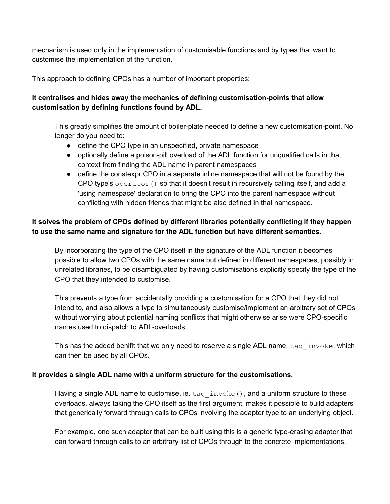mechanism is used only in the implementation of customisable functions and by types that want to customise the implementation of the function.

This approach to defining CPOs has a number of important properties:

#### **It centralises and hides away the mechanics of defining customisation-points that allow customisation by defining functions found by ADL.**

This greatly simplifies the amount of boiler-plate needed to define a new customisation-point. No longer do you need to:

- define the CPO type in an unspecified, private namespace
- optionally define a poison-pill overload of the ADL function for unqualified calls in that context from finding the ADL name in parent namespaces
- define the constexpr CPO in a separate inline namespace that will not be found by the CPO type's operator() so that it doesn't result in recursively calling itself, and add a 'using namespace' declaration to bring the CPO into the parent namespace without conflicting with hidden friends that might be also defined in that namespace.

#### **It solves the problem of CPOs defined by different libraries potentially conflicting if they happen to use the same name and signature for the ADL function but have different semantics.**

By incorporating the type of the CPO itself in the signature of the ADL function it becomes possible to allow two CPOs with the same name but defined in different namespaces, possibly in unrelated libraries, to be disambiguated by having customisations explicitly specify the type of the CPO that they intended to customise.

This prevents a type from accidentally providing a customisation for a CPO that they did not intend to, and also allows a type to simultaneously customise/implement an arbitrary set of CPOs without worrying about potential naming conflicts that might otherwise arise were CPO-specific names used to dispatch to ADL-overloads.

This has the added benifit that we only need to reserve a single ADL name, tag invoke, which can then be used by all CPOs.

#### **It provides a single ADL name with a uniform structure for the customisations.**

Having a single ADL name to customise, ie. tag invoke(), and a uniform structure to these overloads, always taking the CPO itself as the first argument, makes it possible to build adapters that generically forward through calls to CPOs involving the adapter type to an underlying object.

For example, one such adapter that can be built using this is a generic type-erasing adapter that can forward through calls to an arbitrary list of CPOs through to the concrete implementations.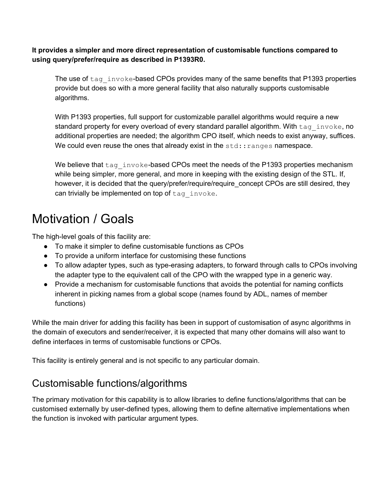**It provides a simpler and more direct representation of customisable functions compared to using query/prefer/require as described in P1393R0.**

The use of  $tag$  invoke-based CPOs provides many of the same benefits that P1393 properties provide but does so with a more general facility that also naturally supports customisable algorithms.

With P1393 properties, full support for customizable parallel algorithms would require a new standard property for every overload of every standard parallel algorithm. With tag invoke, no additional properties are needed; the algorithm CPO itself, which needs to exist anyway, suffices. We could even reuse the ones that already exist in the  $\text{std:}$ : ranges namespace.

We believe that tag invoke-based CPOs meet the needs of the P1393 properties mechanism while being simpler, more general, and more in keeping with the existing design of the STL. If, however, it is decided that the query/prefer/require/require\_concept CPOs are still desired, they can trivially be implemented on top of  $tag$  invoke.

## Motivation / Goals

The high-level goals of this facility are:

- To make it simpler to define customisable functions as CPOs
- To provide a uniform interface for customising these functions
- To allow adapter types, such as type-erasing adapters, to forward through calls to CPOs involving the adapter type to the equivalent call of the CPO with the wrapped type in a generic way.
- Provide a mechanism for customisable functions that avoids the potential for naming conflicts inherent in picking names from a global scope (names found by ADL, names of member functions)

While the main driver for adding this facility has been in support of customisation of async algorithms in the domain of executors and sender/receiver, it is expected that many other domains will also want to define interfaces in terms of customisable functions or CPOs.

This facility is entirely general and is not specific to any particular domain.

## Customisable functions/algorithms

The primary motivation for this capability is to allow libraries to define functions/algorithms that can be customised externally by user-defined types, allowing them to define alternative implementations when the function is invoked with particular argument types.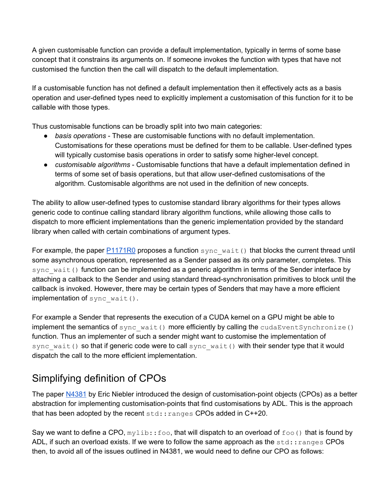A given customisable function can provide a default implementation, typically in terms of some base concept that it constrains its arguments on. If someone invokes the function with types that have not customised the function then the call will dispatch to the default implementation.

If a customisable function has not defined a default implementation then it effectively acts as a basis operation and user-defined types need to explicitly implement a customisation of this function for it to be callable with those types.

Thus customisable functions can be broadly split into two main categories:

- *basis operations* These are customisable functions with no default implementation. Customisations for these operations must be defined for them to be callable. User-defined types will typically customise basis operations in order to satisfy some higher-level concept.
- *customisable algorithms* Customisable functions that have a default implementation defined in terms of some set of basis operations, but that allow user-defined customisations of the algorithm. Customisable algorithms are not used in the definition of new concepts.

The ability to allow user-defined types to customise standard library algorithms for their types allows generic code to continue calling standard library algorithm functions, while allowing those calls to dispatch to more efficient implementations than the generic implementation provided by the standard library when called with certain combinations of argument types.

For example, the paper  $P1171R0$  proposes a function  $sync$  wait() that blocks the current thread until some asynchronous operation, represented as a Sender passed as its only parameter, completes. This sync\_wait() function can be implemented as a generic algorithm in terms of the Sender interface by attaching a callback to the Sender and using standard thread-synchronisation primitives to block until the callback is invoked. However, there may be certain types of Senders that may have a more efficient implementation of sync wait().

For example a Sender that represents the execution of a CUDA kernel on a GPU might be able to implement the semantics of  $sync$  wait() more efficiently by calling the  $cudaEventSynchronic ()$ function. Thus an implementer of such a sender might want to customise the implementation of sync\_wait() so that if generic code were to call sync\_wait() with their sender type that it would dispatch the call to the more efficient implementation.

## Simplifying definition of CPOs

The paper [N4381](https://wg21.link/N4381) by Eric Niebler introduced the design of customisation-point objects (CPOs) as a better abstraction for implementing customisation-points that find customisations by ADL. This is the approach that has been adopted by the recent std:: ranges CPOs added in C++20.

Say we want to define a CPO,  $mylib::foo$ , that will dispatch to an overload of  $foo()$  that is found by ADL, if such an overload exists. If we were to follow the same approach as the  $std:range$  CPOs then, to avoid all of the issues outlined in N4381, we would need to define our CPO as follows: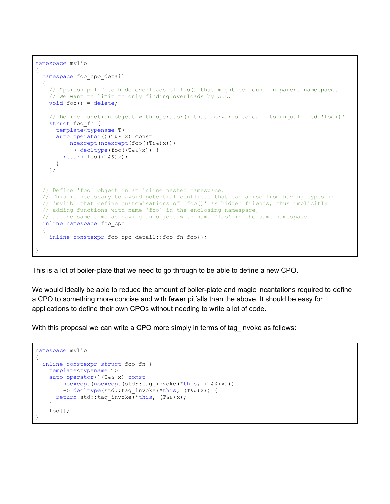```
namespace mylib
{
  namespace foo cpo detail
\left\{ \begin{array}{c} \end{array} \right. // "poison pill" to hide overloads of foo() that might be found in parent namespace.
     // We want to limit to only finding overloads by ADL.
     void foo() = delete;
     // Define function object with operator() that forwards to call to unqualified 'foo()'
     struct foo_fn {
       template<typename T>
       auto operator()(T&& x) const
           noexcept(noexcept(foo((T&&)x)))
           -> decltype(foo((T&&)x)) {
         return foo((T&&)x);
 }
     };
   }
   // Define 'foo' object in an inline nested namespace.
   // This is necessary to avoid potential conflicts that can arise from having types in
   // 'mylib' that define customisations of 'foo()' as hidden friends, thus implicitly
   // adding functions with name 'foo' in the enclosing namespace,
   // at the same time as having an object with name 'foo' in the same namespace.
   inline namespace foo_cpo
\left\{ \begin{array}{c} \end{array} \right.inline constexpr foo cpo detail::foo fn foo{};
   }
}
```
This is a lot of boiler-plate that we need to go through to be able to define a new CPO.

We would ideally be able to reduce the amount of boiler-plate and magic incantations required to define a CPO to something more concise and with fewer pitfalls than the above. It should be easy for applications to define their own CPOs without needing to write a lot of code.

With this proposal we can write a CPO more simply in terms of tag\_invoke as follows:

```
namespace mylib
{
  inline constexpr struct foo_fn {
    template<typename T>
    auto operator()(T&& x) const
       noexcept(noexcept(std::tag_invoke(*this, (T&&)x)))
        -> decltype(std::tag_invoke(*this, (T&&)x)) {
     return std::tag invoke(*this, (T&&)x);
     }
   } foo{};
}
```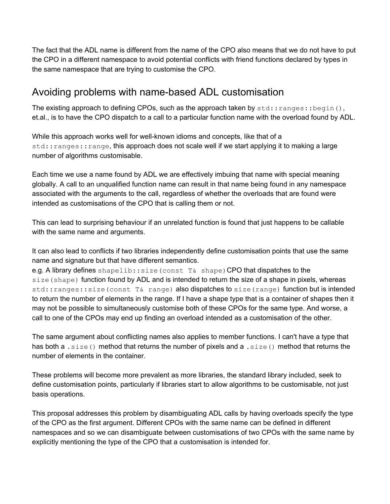The fact that the ADL name is different from the name of the CPO also means that we do not have to put the CPO in a different namespace to avoid potential conflicts with friend functions declared by types in the same namespace that are trying to customise the CPO.

### Avoiding problems with name-based ADL customisation

The existing approach to defining CPOs, such as the approach taken by  $std:ranges::begin($ , et.al., is to have the CPO dispatch to a call to a particular function name with the overload found by ADL.

While this approach works well for well-known idioms and concepts, like that of a std::ranges::range, this approach does not scale well if we start applying it to making a large number of algorithms customisable.

Each time we use a name found by ADL we are effectively imbuing that name with special meaning globally. A call to an unqualified function name can result in that name being found in any namespace associated with the arguments to the call, regardless of whether the overloads that are found were intended as customisations of the CPO that is calling them or not.

This can lead to surprising behaviour if an unrelated function is found that just happens to be callable with the same name and arguments.

It can also lead to conflicts if two libraries independently define customisation points that use the same name and signature but that have different semantics.

e.g. A library defines shapelib::size(const T& shape)CPO that dispatches to the size (shape) function found by ADL and is intended to return the size of a shape in pixels, whereas std::ranges::size(const T& range) also dispatches to size(range) function but is intended to return the number of elements in the range. If I have a shape type that is a container of shapes then it may not be possible to simultaneously customise both of these CPOs for the same type. And worse, a call to one of the CPOs may end up finding an overload intended as a customisation of the other.

The same argument about conflicting names also applies to member functions. I can't have a type that has both a . size() method that returns the number of pixels and a . size() method that returns the number of elements in the container.

These problems will become more prevalent as more libraries, the standard library included, seek to define customisation points, particularly if libraries start to allow algorithms to be customisable, not just basis operations.

This proposal addresses this problem by disambiguating ADL calls by having overloads specify the type of the CPO as the first argument. Different CPOs with the same name can be defined in different namespaces and so we can disambiguate between customisations of two CPOs with the same name by explicitly mentioning the type of the CPO that a customisation is intended for.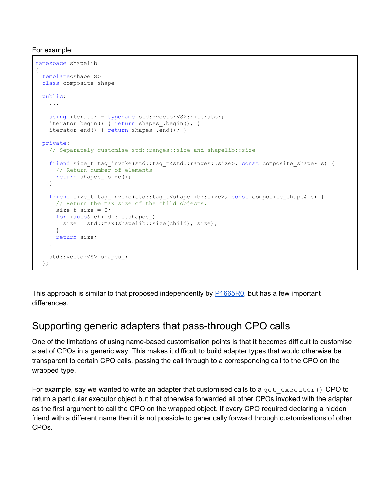For example:

```
namespace shapelib
{
  template<shape S>
  class composite_shape
   {
  public:
     ...
   using iterator = typename std::vector<S>::iterator;
   iterator begin() { return shapes .begin(); }
   iterator end() { return shapes .end(); }
  private:
    // Separately customise std::ranges::size and shapelib::size
    friend size_t tag_invoke(std::tag_t<std::ranges::size>, const composite_shape& s) {
      // Return number of elements
     return shapes .size();
     }
   friend size t tag_invoke(std::tag_t<shapelib::size>, const composite shape& s) {
      // Return the max size of the child objects.
     size t size = 0; for (auto& child : s.shapes_) {
       size = std::max(shapelib::size(child), size);
      }
      return size;
    }
   std::vector<S> shapes ;
  };
```
This approach is similar to that proposed independently by  $P1665R0$ , but has a few important differences.

## Supporting generic adapters that pass-through CPO calls

One of the limitations of using name-based customisation points is that it becomes difficult to customise a set of CPOs in a generic way. This makes it difficult to build adapter types that would otherwise be transparent to certain CPO calls, passing the call through to a corresponding call to the CPO on the wrapped type.

For example, say we wanted to write an adapter that customised calls to a get executor() CPO to return a particular executor object but that otherwise forwarded all other CPOs invoked with the adapter as the first argument to call the CPO on the wrapped object. If every CPO required declaring a hidden friend with a different name then it is not possible to generically forward through customisations of other CPOs.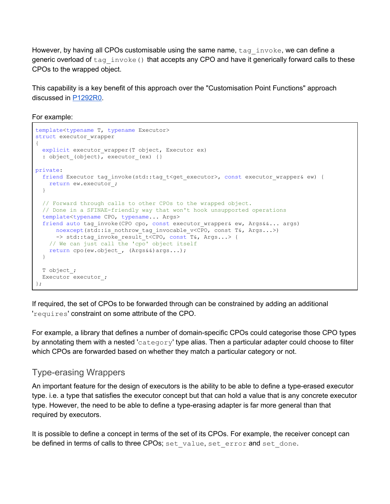However, by having all CPOs customisable using the same name,  $tan$  invoke, we can define a generic overload of  $tag$  invoke() that accepts any CPO and have it generically forward calls to these CPOs to the wrapped object.

This capability is a key benefit of this approach over the "Customisation Point Functions" approach discussed in [P1292R0.](https://wg21.link/P1292R0)

For example:

```
template<typename T, typename Executor>
struct executor wrapper
{
  explicit executor wrapper(T object, Executor ex)
  : object_{o} (object), executor<sub>(gx)</sub> {}
private:
 friend Executor tag_invoke(std::tag_t<get_executor>, const executor_wrapper& ew) {
   return ew.executor_;
   }
  // Forward through calls to other CPOs to the wrapped object.
  // Done in a SFINAE-friendly way that won't hook unsupported operations
   template<typename CPO, typename... Args>
  friend auto tag invoke(CPO cpo, const executor wrapper& ew, Args&&... args)
     noexcept(std::is nothrow tag_invocable_v<CPO, const T&, Args...>)
     -> std::tag_invoke_result_t<CPO, const T&, Args...> {
    // We can just call the 'cpo' object itself
   return cpo(ew.object, (Args&&)args...);
  }
  T object_;
 Executor executor ;
};
```
If required, the set of CPOs to be forwarded through can be constrained by adding an additional 'requires' constraint on some attribute of the CPO.

For example, a library that defines a number of domain-specific CPOs could categorise those CPO types by annotating them with a nested 'category' type alias. Then a particular adapter could choose to filter which CPOs are forwarded based on whether they match a particular category or not.

#### Type-erasing Wrappers

An important feature for the design of executors is the ability to be able to define a type-erased executor type. i.e. a type that satisfies the executor concept but that can hold a value that is any concrete executor type. However, the need to be able to define a type-erasing adapter is far more general than that required by executors.

It is possible to define a concept in terms of the set of its CPOs. For example, the receiver concept can be defined in terms of calls to three CPOs; set value, set error and set done.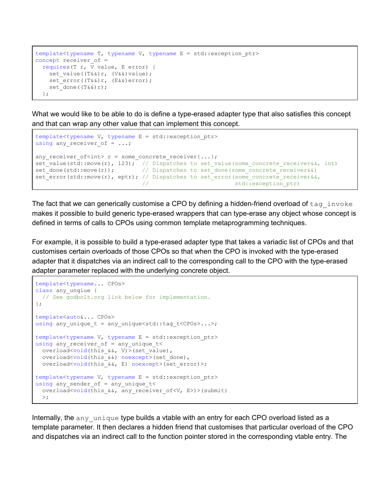```
template<typename T, typename V, typename E = std::exception ptr>
concept receiver of =
  requires(T r, V value, E error) {
   set value((T&&)r, (V&&)value);
   set error((T&&)r, (E&&)error);
   set done((T&&)r);
   };
```
What we would like to be able to do is define a type-erased adapter type that also satisfies this concept and that can wrap any other value that can implement this concept.

```
template<typename V, typename E = std::exception ptr>
using any_receiver_of = ...;
any receiver_of<int> r = some_concrete_receiver{...};
set_value(std::move(r), 123); // Dispatches to set_value(some_concrete_receiver&&, int)
set<sup>-</sup>done(std::move(r)); // Dispatches to set<sup>-</sup>done(some_concrete_receiver&&)
set_error(std::move(r), eptr); // Dispatches to set_error(some_concrete_receiver&&,
                              // std::exception ptr)
```
The fact that we can generically customise a CPO by defining a hidden-friend overload of  $\text{tag} \text{invoke}$ makes it possible to build generic type-erased wrappers that can type-erase any object whose concept is defined in terms of calls to CPOs using common template metaprogramming techniques.

For example, it is possible to build a type-erased adapter type that takes a variadic list of CPOs and that customises certain overloads of those CPOs so that when the CPO is invoked with the type-erased adapter that it dispatches via an indirect call to the corresponding call to the CPO with the type-erased adapter parameter replaced with the underlying concrete object.

```
template<typename... CPOs>
class any_unqiue {
  // See godbolt.org link below for implementation.
};
template<auto&... CPOs>
using any unique t = any unique</math> <math>\langle state: tag t < CPOS</math>. . .template<typename V, typename E = std::exception_ptr>
using any receiver of = any unique t<
 overload<void(this &&, V)>(set value),
  overload<void(this_&&) noexcept>(set_done),
 overload<void(this &&, E) noexcept>(set error)>;
template<typename V, typename E = std::exception_ptr>
using any_sender_of = any_unique_t<
 overload<void(this &&, any receiver of<V, E>)>(submit)
  >;
```
Internally, the any unique type builds a vtable with an entry for each CPO overload listed as a template parameter. It then declares a hidden friend that customises that particular overload of the CPO and dispatches via an indirect call to the function pointer stored in the corresponding vtable entry. The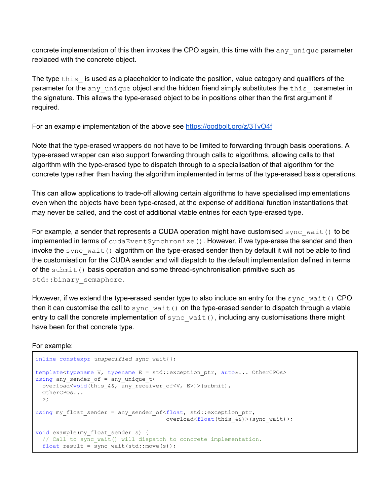concrete implementation of this then invokes the CPO again, this time with the  $\Delta n y$  unique parameter replaced with the concrete object.

The type this is used as a placeholder to indicate the position, value category and qualifiers of the parameter for the any unique object and the hidden friend simply substitutes the this parameter in the signature. This allows the type-erased object to be in positions other than the first argument if required.

For an example implementation of the above see <https://godbolt.org/z/3TvO4f>

Note that the type-erased wrappers do not have to be limited to forwarding through basis operations. A type-erased wrapper can also support forwarding through calls to algorithms, allowing calls to that algorithm with the type-erased type to dispatch through to a specialisation of that algorithm for the concrete type rather than having the algorithm implemented in terms of the type-erased basis operations.

This can allow applications to trade-off allowing certain algorithms to have specialised implementations even when the objects have been type-erased, at the expense of additional function instantiations that may never be called, and the cost of additional vtable entries for each type-erased type.

For example, a sender that represents a CUDA operation might have customised  $\frac{sync}{w}$  wait() to be implemented in terms of cudaEventSynchronize(). However, if we type-erase the sender and then invoke the sync wait() algorithm on the type-erased sender then by default it will not be able to find the customisation for the CUDA sender and will dispatch to the default implementation defined in terms of the submit() basis operation and some thread-synchronisation primitive such as std::binary semaphore.

However, if we extend the type-erased sender type to also include an entry for the  $\frac{sync}{wa}$  wait() CPO then it can customise the call to  $\text{sync\_wait}$  on the type-erased sender to dispatch through a vtable entry to call the concrete implementation of  $sync$  wait(), including any customisations there might have been for that concrete type.

```
For example:
```

```
inline constexpr unspecified sync wait{};
template<typename V, typename E = std::exception ptr, auto&... OtherCPOs>
using any_sender of = any unique t<
 overload<void(this &&, any receiver of<V, E>)>(submit),
  OtherCPOs...
 >;
using my_float_sender = any_sender_of<float, std::exception_ptr,
                                      overload<float(this &\&)>(sync wait)>;
void example(my_float_sender s) {
 // Call to sync wait() will dispatch to concrete implementation.
 float result = sync wait(std::move(s));
```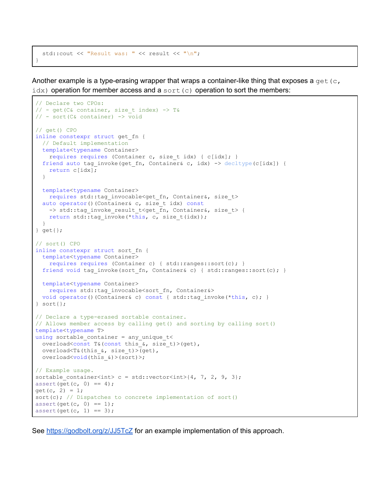```
std::cout << "Result was: " << result << "\n";
}
```
Another example is a type-erasing wrapper that wraps a container-like thing that exposes a  $\det(c, c)$  $idx$ ) operation for member access and a sort (c) operation to sort the members:

```
// Declare two CPOs:
// - get(C& container, size t index) \rightarrow T&
// - sort(C& container) -> void
// get() CPO
inline constexpr struct get_fn {
  // Default implementation
  template<typename Container>
    requires requires (Container c, size_t idx) { c[idx]; }
 friend auto tag invoke(get fn, Container& c, idx) -> decltype(c[idx]) {
   return c[idx];
  }
  template<typename Container>
   requires std::tag_invocable<get_fn, Container&, size_t>
 auto operator()(Container& c, size t idx) const
   -> std::tag_invoke_result_t<get_fn, Container&, size_t> {
    return std::tag_invoke(*this, c, size_t(idx));
  }
} get{};
// sort() CPO
inline constexpr struct sort_fn {
  template<typename Container>
    requires requires (Container c) { std::ranges::sort(c); }
 friend void tag invoke(sort fn, Container& c) { std::ranges::sort(c); }
  template<typename Container>
   requires std:: tag_invocable<sort_fn, Container&>
 void operator()(Container& c) const { std::tag_invoke(*this, c); }
} sort{};
// Declare a type-erased sortable container.
// Allows member access by calling get() and sorting by calling sort()
template<typename T>
using sortable container = any unique t<
 overload<const T&(const this &, size t)>(get),
 overload<T&(this &, size t)>(get),
  overload<void(this_&)>(sort)>;
// Example usage.
sortable container<int> c = std::vector<int>{4, 7, 2, 9, 3};
assert(get(c, 0) == 4);get(c, 2) = 1;sort(c); // Dispatches to concrete implementation of sort()
assert(get(c, 0) == 1);assert(get(c, 1) == 3);
```
See <https://godbolt.org/z/JJ5TcZ> for an example implementation of this approach.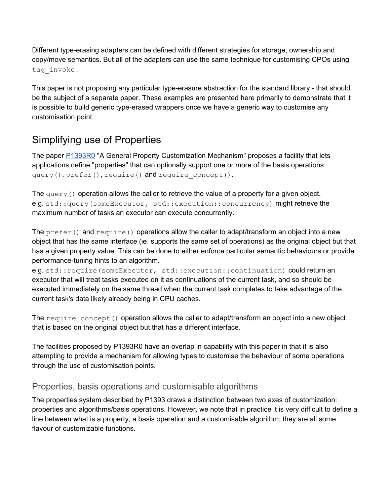Different type-erasing adapters can be defined with different strategies for storage, ownership and copy/move semantics. But all of the adapters can use the same technique for customising CPOs using tag invoke.

This paper is not proposing any particular type-erasure abstraction for the standard library - that should be the subject of a separate paper. These examples are presented here primarily to demonstrate that it is possible to build generic type-erased wrappers once we have a generic way to customise any customisation point.

## Simplifying use of Properties

The paper [P1393R0](https://wg21.link/P1393R0) "A General Property Customization Mechanism" proposes a facility that lets applications define "properties" that can optionally support one or more of the basis operations: query(), prefer(), require() and require concept().

The query() operation allows the caller to retrieve the value of a property for a given object. e.g. std::query(someExecutor, std::execution::concurrency) might retrieve the maximum number of tasks an executor can execute concurrently.

The  $prefer()$  and  $require()$  operations allow the caller to adapt/transform an object into a new object that has the same interface (ie. supports the same set of operations) as the original object but that has a given property value. This can be done to either enforce particular semantic behaviours or provide performance-tuning hints to an algorithm.

e.g. std::require(someExecutor, std::execution::continuation) could return an executor that will treat tasks executed on it as continuations of the current task, and so should be executed immediately on the same thread when the current task completes to take advantage of the current task's data likely already being in CPU caches.

The require concept() operation allows the caller to adapt/transform an object into a new object that is based on the original object but that has a different interface.

The facilities proposed by P1393R0 have an overlap in capability with this paper in that it is also attempting to provide a mechanism for allowing types to customise the behaviour of some operations through the use of customisation points.

#### Properties, basis operations and customisable algorithms

The properties system described by P1393 draws a distinction between two axes of customization: properties and algorithms/basis operations. However, we note that in practice it is very difficult to define a line between what is a property, a basis operation and a customisable algorithm; they are all some flavour of customizable functions.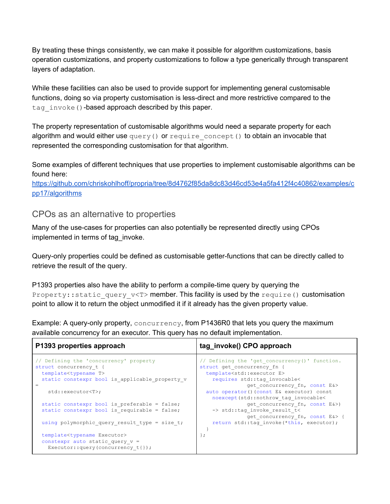By treating these things consistently, we can make it possible for algorithm customizations, basis operation customizations, and property customizations to follow a type generically through transparent layers of adaptation.

While these facilities can also be used to provide support for implementing general customisable functions, doing so via property customisation is less-direct and more restrictive compared to the tag invoke()-based approach described by this paper.

The property representation of customisable algorithms would need a separate property for each algorithm and would either use query() or require concept() to obtain an invocable that represented the corresponding customisation for that algorithm.

Some examples of different techniques that use properties to implement customisable algorithms can be found here:

[https://github.com/chriskohlhoff/propria/tree/8d4762f85da8dc83d46cd53e4a5fa412f4c40862/examples/c](https://github.com/chriskohlhoff/propria/tree/8d4762f85da8dc83d46cd53e4a5fa412f4c40862/examples/cpp17/algorithms) [pp17/algorithms](https://github.com/chriskohlhoff/propria/tree/8d4762f85da8dc83d46cd53e4a5fa412f4c40862/examples/cpp17/algorithms)

#### CPOs as an alternative to properties

Many of the use-cases for properties can also potentially be represented directly using CPOs implemented in terms of tag\_invoke.

Query-only properties could be defined as customisable getter-functions that can be directly called to retrieve the result of the query.

P1393 properties also have the ability to perform a compile-time query by querying the Property::static\_query\_v<T>member. This facility is used by the require() customisation point to allow it to return the object unmodified it if it already has the given property value.

Example: A query-only property, concurrency, from P1436R0 that lets you query the maximum available concurrency for an executor. This query has no default implementation.

| P1393 properties approach                      | tag_invoke() CPO approach                     |
|------------------------------------------------|-----------------------------------------------|
| // Defining the 'concurrency' property         | // Defining the 'get concurrency()' function. |
| struct concurrency t {                         | struct get concurrency fn {                   |
| template <typename t=""></typename>            | template <std::executor e=""></std::executor> |
| static constexpr bool is applicable property v | requires std::tag invocable<                  |
|                                                | get concurrency fn, const E&>                 |
| std::executor <t>;</t>                         | auto operator () (const E& executor) const    |
|                                                | noexcept (std::nothrow tag invocable<         |
| static constexpr bool is preferable = false;   | get concurrency fn, const E&>)                |
| static constexpr bool is requirable = false;   | -> std::tag invoke result t<                  |
|                                                | get concurrency fn, const E&> {               |
| using polymorphic query result type = size t;  | return std::tag invoke(*this, executor);      |
|                                                |                                               |
| template <typename executor=""></typename>     |                                               |
| constexpr auto static query $v =$              |                                               |
| Executor:: query (concurrency $t\{\})$ ;       |                                               |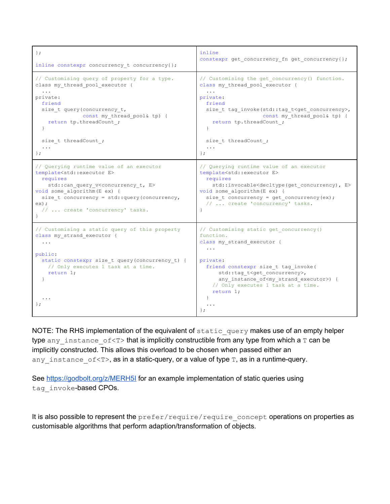| $\}$ ;                                                                                                                                                                                                                                                                                                                        | inline                                                                                                                                                                                                                                                                                                                         |
|-------------------------------------------------------------------------------------------------------------------------------------------------------------------------------------------------------------------------------------------------------------------------------------------------------------------------------|--------------------------------------------------------------------------------------------------------------------------------------------------------------------------------------------------------------------------------------------------------------------------------------------------------------------------------|
| inline constexpr concurrency t concurrency{};                                                                                                                                                                                                                                                                                 | constexpr get_concurrency_fn get_concurrency{};                                                                                                                                                                                                                                                                                |
| // Customising query of property for a type.                                                                                                                                                                                                                                                                                  | // Customising the get concurrency() function.                                                                                                                                                                                                                                                                                 |
| class my thread pool executor {                                                                                                                                                                                                                                                                                               | class my thread pool executor {                                                                                                                                                                                                                                                                                                |
| private:                                                                                                                                                                                                                                                                                                                      | private:                                                                                                                                                                                                                                                                                                                       |
| friend                                                                                                                                                                                                                                                                                                                        | friend                                                                                                                                                                                                                                                                                                                         |
| size t query (concurrency_t,                                                                                                                                                                                                                                                                                                  | size t tag invoke(std::tag_t <get_concurrency>,</get_concurrency>                                                                                                                                                                                                                                                              |
| const my thread pool& tp) {                                                                                                                                                                                                                                                                                                   | const my_thread_pool& tp) {                                                                                                                                                                                                                                                                                                    |
| return tp.threadCount ;                                                                                                                                                                                                                                                                                                       | return tp.threadCount ;                                                                                                                                                                                                                                                                                                        |
| $\mathcal{F}$                                                                                                                                                                                                                                                                                                                 | $\mathcal{F}$                                                                                                                                                                                                                                                                                                                  |
| size t threadCount ;                                                                                                                                                                                                                                                                                                          | size t threadCount ;                                                                                                                                                                                                                                                                                                           |
| $\cdots$                                                                                                                                                                                                                                                                                                                      | $\ddots$                                                                                                                                                                                                                                                                                                                       |
| $\}$ ;                                                                                                                                                                                                                                                                                                                        | $\}$ ;                                                                                                                                                                                                                                                                                                                         |
| // Querying runtime value of an executor<br>template <std::executor e=""><br/>requires<br/>std:: can query v<concurrency e="" t,=""><br/>void some algorithm (E ex) {<br/>size t concurrency = <math>std::query</math> (concurrency,<br/><math>ex)</math> ;<br/>//  create 'concurrency' tasks.</concurrency></std::executor> | // Querying runtime value of an executor<br>template <std::executor e=""><br/>requires<br/>std::invocable<decltype(get concurrency),="" e=""><br/>void some algorithm (E ex) {<br/>size <math>t</math> concurrency = get concurrency (ex) ;<br/>//  create 'concurrency' tasks.</decltype(get></std::executor>                 |
| // Customising a static query of this property<br>class my_strand_executor {<br>public:<br>static constexpr size t query (concurrency t) {<br>// Only executes 1 task at a time.<br>return $1$ ;<br>↑<br>$\}$ ;                                                                                                               | // Customising static get concurrency()<br>function.<br>class my strand executor {<br>private:<br>friend constexpr size t tag invoke(<br>std::tag t <get concurrency="">,<br/>any instance of<my executor="" strand="">) {<br/>// Only executes 1 task at a time.<br/>return <math>1;</math><br/><math>\cdot</math></my></get> |

NOTE: The RHS implementation of the equivalent of static query makes use of an empty helper type any instance  $of < T$  that is implicitly constructible from any type from which a  $T$  can be implicitly constructed. This allows this overload to be chosen when passed either an any\_instance\_of<T>, as in a static-query, or a value of type T, as in a runtime-query.

See <https://godbolt.org/z/MERH5I> for an example implementation of static queries using tag\_invoke-based CPOs.

It is also possible to represent the prefer/require/require\_concept operations on properties as customisable algorithms that perform adaption/transformation of objects.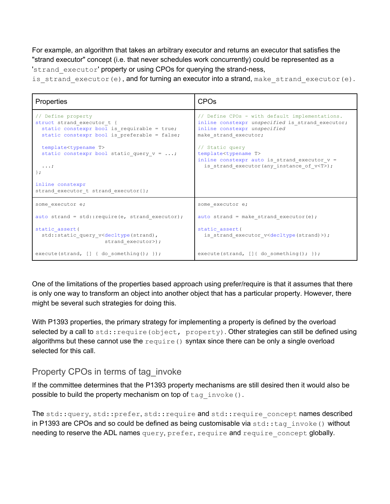For example, an algorithm that takes an arbitrary executor and returns an executor that satisfies the "strand executor" concept (i.e. that never schedules work concurrently) could be represented as a 'strand executor' property or using CPOs for querying the strand-ness,

is strand executor(e), and for turning an executor into a strand, make strand executor(e).

```
Properties and CPOs
// Define property
struct strand executor t {
 static constexpr bool is_requirable = true;
 static constexpr bool is preferable = false;
 template<typename T>
 static constexpr bool static_query_v = ...;...;
};
inline constexpr
strand executor t strand executor{};
                                                 // Define CPOs - with default implementations.
                                                 inline constexpr unspecified is_strand_executor;
                                                 inline constexpr unspecified
                                                 make strand executor;
                                                 // Static query
                                                 template<typename T>
                                                 inline constexpr auto is strand executor v =is strand executor(any instance of v<T>);
some executor e;
auto strand = std:: require(e, strand executor);
static_assert(
 std::static query v<decltype(strand),
                    strand executor>);
execute(strand, [] { do something(); });
                                                 some executor e;
                                                 auto strand = make strand executor(e);
                                                 static_assert(
                                                   is strand executor v<decltype(strand)>);
                                                 execute(strand, []{ do something(); });
```
One of the limitations of the properties based approach using prefer/require is that it assumes that there is only one way to transform an object into another object that has a particular property. However, there might be several such strategies for doing this.

With P1393 properties, the primary strategy for implementing a property is defined by the overload selected by a call to  $stat::require(object, property)$ . Other strategies can still be defined using algorithms but these cannot use the  $\text{require}()$  syntax since there can be only a single overload selected for this call.

#### Property CPOs in terms of tag\_invoke

If the committee determines that the P1393 property mechanisms are still desired then it would also be possible to build the property mechanism on top of  $tag$  invoke().

The std::query, std::prefer, std::require and std::require\_concept names described in P1393 are CPOs and so could be defined as being customisable via  $std::tag$  invoke() without needing to reserve the ADL names query, prefer, require and require concept globally.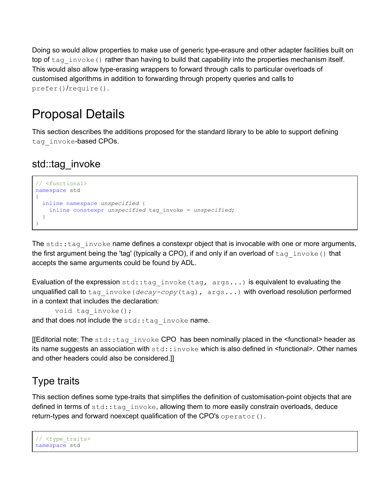Doing so would allow properties to make use of generic type-erasure and other adapter facilities built on top of tag invoke() rather than having to build that capability into the properties mechanism itself. This would also allow type-erasing wrappers to forward through calls to particular overloads of customised algorithms in addition to forwarding through property queries and calls to prefer()/require().

## Proposal Details

This section describes the additions proposed for the standard library to be able to support defining tag invoke-based CPOs.

## std::tag\_invoke

```
// <functional>
namespace std
{
  inline namespace unspecified {
    inline constexpr unspecified tag_invoke = unspecified;
   }
}
```
The  $std:tag$  invoke name defines a constexpr object that is invocable with one or more arguments, the first argument being the 'tag' (typically a CPO), if and only if an overload of  $\text{tag}$  invoke() that accepts the same arguments could be found by ADL.

Evaluation of the expression  $stat:tag$  invoke (tag,  $args...$ ) is equivalent to evaluating the unqualified call to tag\_invoke(*decay-copy*(tag), args...) with overload resolution performed in a context that includes the declaration:

void tag invoke(); and that does not include the  $std::tag$  invoke name.

[[Editorial note: The  $stat:tag$  invoke CPO has been nominally placed in the  $s$  functional> header as its name suggests an association with  $\text{std}::\text{invoke}$  which is also defined in  $\leq$  functional>. Other names and other headers could also be considered.]]

## Type traits

This section defines some type-traits that simplifies the definition of customisation-point objects that are defined in terms of  $std::tag$  invoke, allowing them to more easily constrain overloads, deduce return-types and forward noexcept qualification of the CPO's operator().

```
// <type_traits>
namespace std
```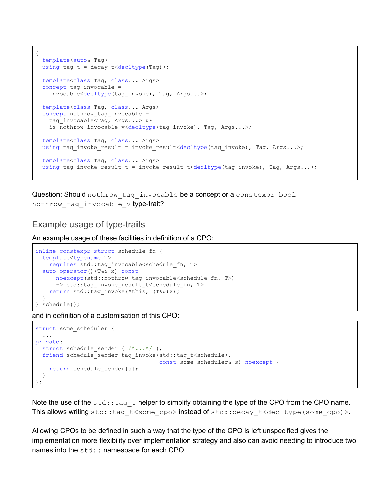```
{
 template<auto& Tag>
 using tag t = decay t<decltype(Tag)>;
  template<class Tag, class... Args>
 concept tag invocable =
   invocable<decltype(tag_invoke), Tag, Args...>;
  template<class Tag, class... Args>
 concept nothrow tag invocable =
   tag_invocable<Tag, Args...> &&
   is nothrow invocable v<decltype(tag_invoke), Tag, Args...>;
  template<class Tag, class... Args>
 using tag_invoke_result = invoke_result<decltype(tag_invoke), Tag, Args...>;
  template<class Tag, class... Args>
 using tag_invoke_result_t = invoke_result_t<decltype(tag_invoke), Tag, Args...>;
}
```
Question: Should nothrow tag invocable be a concept or a constexpr bool nothrow tag invocable v type-trait?

#### Example usage of type-traits

An example usage of these facilities in definition of a CPO:

```
inline constexpr struct schedule_fn {
  template<typename T>
   requires std::tag_invocable<schedule_fn, T>
  auto operator()(T&& x) const
      noexcept(std::nothrow_tag_invocable<schedule_fn, T>)
     -> std::tag_invoke_result_t<schedule_fn, T> {
   return std::tag invoke(*this, (T&&)x);
   }
} schedule{};
```
and in definition of a customisation of this CPO:

```
struct some_scheduler {
   ...
private:
 struct schedule sender { /*...*/ };
  friend schedule_sender tag_invoke(std::tag_t<schedule>,
                                      const some_scheduler& s) noexcept {
   return schedule sender{s};
  }
};
```
Note the use of the  $std::tag$  thelper to simplify obtaining the type of the CPO from the CPO name. This allows writing std::tag t<some cpo>instead of std::decay t<decltype (some cpo)>.

Allowing CPOs to be defined in such a way that the type of the CPO is left unspecified gives the implementation more flexibility over implementation strategy and also can avoid needing to introduce two names into the std: : namespace for each CPO.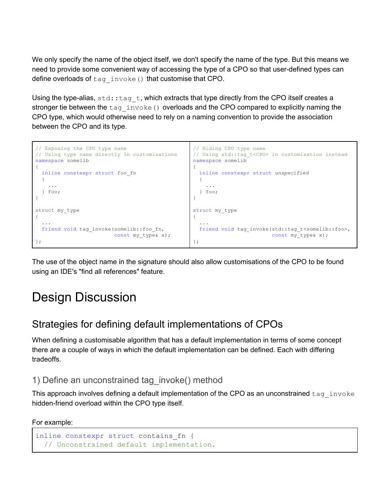We only specify the name of the object itself, we don't specify the name of the type. But this means we need to provide some convenient way of accessing the type of a CPO so that user-defined types can define overloads of tag\_invoke() that customise that CPO.

Using the type-alias,  $\text{std}:\text{tag }t$ , which extracts that type directly from the CPO itself creates a stronger tie between the tag\_invoke() overloads and the CPO compared to explicitly naming the CPO type, which would otherwise need to rely on a naming convention to provide the association between the CPO and its type.



The use of the object name in the signature should also allow customisations of the CPO to be found using an IDE's "find all references" feature.

## Design Discussion

### Strategies for defining default implementations of CPOs

When defining a customisable algorithm that has a default implementation in terms of some concept there are a couple of ways in which the default implementation can be defined. Each with differing tradeoffs.

#### 1) Define an unconstrained tag\_invoke() method

This approach involves defining a default implementation of the CPO as an unconstrained tag invoke hidden-friend overload within the CPO type itself.

```
For example:
```

```
inline constexpr struct contains_fn {
  // Unconstrained default implementation.
```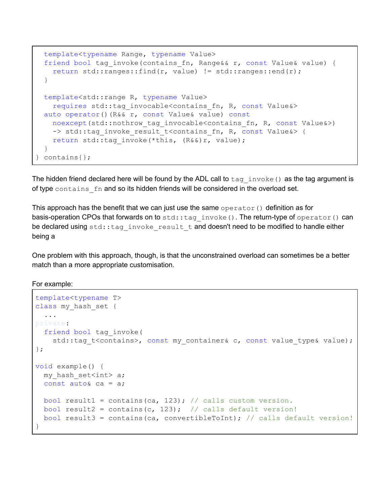```
template<typename Range, typename Value>
 friend bool tag invoke(contains fn, Range&& r, const Value& value) {
   return std::ranges::find(r, value) != std::ranges::end(r);
 }
 template<std::range R, typename Value>
   requires std::tag_invocable<contains_fn, R, const Value&>
 auto operator()(R&& r, const Value& value) const
   noexcept(std::nothrow tag_invocable<contains_fn, R, const Value&>)
   -> std::tag_invoke_result_t<contains_fn, R, const Value&> {
   return std::tag_invoke(*this, (R&&)r, value);
  }
} contains{};
```
The hidden friend declared here will be found by the ADL call to  $\text{tag }$  invoke() as the tag argument is of type contains fn and so its hidden friends will be considered in the overload set.

This approach has the benefit that we can just use the same operator() definition as for basis-operation CPOs that forwards on to std::tag\_invoke(). The return-type of operator() can be declared using std::tag\_invoke\_result\_t and doesn't need to be modified to handle either being a

One problem with this approach, though, is that the unconstrained overload can sometimes be a better match than a more appropriate customisation.

For example:

```
template<typename T>
class my hash set {
  ...
private:
  friend bool tag_invoke(
    std::tag t<contains>, const my container& c, const value type& value);
};
void example() {
 my hash set<int> a;
 const auto& ca = a;
 bool result1 = contains(ca, 123); // calls custom version.
 bool result2 = contains(c, 123); // calls default version!
 bool result3 = contains(ca, convertibleToInt); // calls default version!
}
```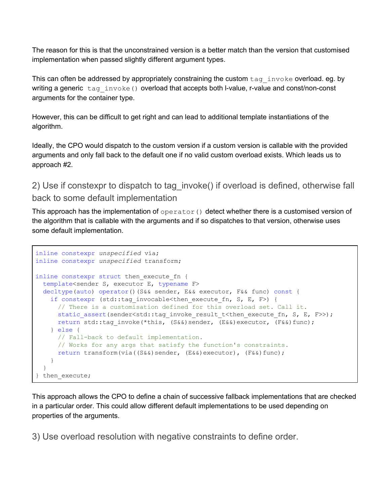The reason for this is that the unconstrained version is a better match than the version that customised implementation when passed slightly different argument types.

This can often be addressed by appropriately constraining the custom  $\text{tag}$  invoke overload. eg. by writing a generic  $\text{tag}$  invoke() overload that accepts both l-value, r-value and const/non-const arguments for the container type.

However, this can be difficult to get right and can lead to additional template instantiations of the algorithm.

Ideally, the CPO would dispatch to the custom version if a custom version is callable with the provided arguments and only fall back to the default one if no valid custom overload exists. Which leads us to approach #2.

2) Use if constexpr to dispatch to tag\_invoke() if overload is defined, otherwise fall back to some default implementation

This approach has the implementation of  $\sigma$   $\beta$  and  $\sigma$  () detect whether there is a customised version of the algorithm that is callable with the arguments and if so dispatches to that version, otherwise uses some default implementation.

```
inline constexpr unspecified via;
inline constexpr unspecified transform;
inline constexpr struct then execute fn {
 template<sender S, executor E, typename F>
 decltype(auto) operator()(S&& sender, E&& executor, F&& func) const {
    if constexpr (std::tag_invocable<then_execute_fn, S, E, F>) {
     // There is a customisation defined for this overload set. Call it.
     static assert(sender<std::tag_invoke_result_t<then_execute_fn, S, E, F>>);
     return std::tag_invoke(*this, (S&&)sender, (E&&)executor, (F&&)func);
    } else {
     // Fall-back to default implementation.
     // Works for any args that satisfy the function's constraints.
     return transform(via((S&&)sender, (E&&)executor), (F&&)func);
    }
  }
} then execute;
```
This approach allows the CPO to define a chain of successive fallback implementations that are checked in a particular order. This could allow different default implementations to be used depending on properties of the arguments.

3) Use overload resolution with negative constraints to define order.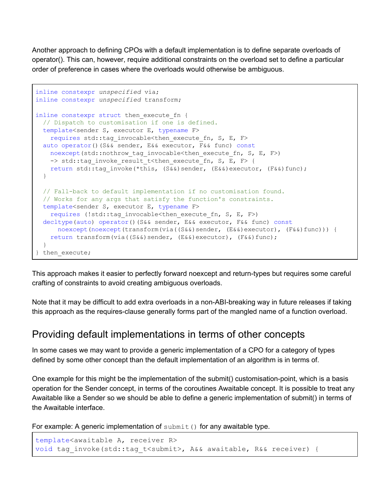Another approach to defining CPOs with a default implementation is to define separate overloads of operator(). This can, however, require additional constraints on the overload set to define a particular order of preference in cases where the overloads would otherwise be ambiguous.

```
inline constexpr unspecified via;
inline constexpr unspecified transform;
inline constexpr struct then execute fn {
 // Dispatch to customisation if one is defined.
 template<sender S, executor E, typename F>
   requires std::tag_invocable<then_execute_fn, S, E, F>
 auto operator()(S&& sender, E&& executor, F&& func) const
   noexcept(std::nothrow tag_invocable<then_execute_fn, S, E, F>)
   -> std::tag_invoke_result_t<then_execute_fn, S, E, F> {
   return std::tag_invoke(*this, (S&&)sender, (E&&)executor, (F&&)func);
  }
  // Fall-back to default implementation if no customisation found.
 // Works for any args that satisfy the function's constraints.
  template<sender S, executor E, typename F>
    requires (!std::tag_invocable<then_execute_fn, S, E, F>)
 decltype(auto) operator()(S&& sender, E&& executor, F&& func) const
     noexcept(noexcept(transform(via((S&&)sender, (Ek@)executor), (F@)func))) {
   return transform(via((S&&)sender, (E&&)executor), (F&&)func);
  }
} then execute;
```
This approach makes it easier to perfectly forward noexcept and return-types but requires some careful crafting of constraints to avoid creating ambiguous overloads.

Note that it may be difficult to add extra overloads in a non-ABI-breaking way in future releases if taking this approach as the requires-clause generally forms part of the mangled name of a function overload.

### Providing default implementations in terms of other concepts

In some cases we may want to provide a generic implementation of a CPO for a category of types defined by some other concept than the default implementation of an algorithm is in terms of.

One example for this might be the implementation of the submit() customisation-point, which is a basis operation for the Sender concept, in terms of the coroutines Awaitable concept. It is possible to treat any Awaitable like a Sender so we should be able to define a generic implementation of submit() in terms of the Awaitable interface.

For example: A generic implementation of  $\text{submit}(\cdot)$  for any awaitable type.

```
template<awaitable A, receiver R>
void tag invoke(std::tag t<submit>, A&& awaitable, R&& receiver) {
```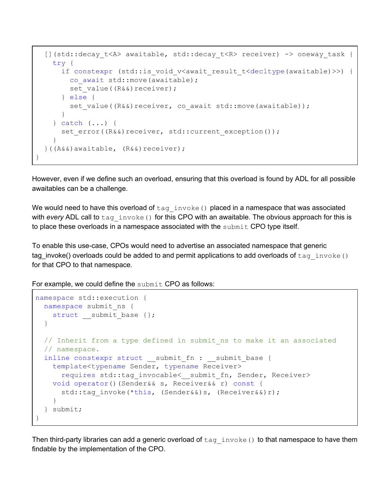```
[](std::decay_t<A> awaitable, std::decay_t<R> receiver) -> oneway_task {
   try {
     if constexpr (std::is void v<await result t<decltype(awaitable)>>) {
        co await std:: move(awaitable);
        set value((R&&)receiver);
      } else {
        set value((R&&)receiver, co await std::move(awaitable));
      }
    } catch (...) {
     set error((R&&)receiver, std::current exception());
    }
 }((A&&)awaitable, (R&&)receiver);
}
```
However, even if we define such an overload, ensuring that this overload is found by ADL for all possible awaitables can be a challenge.

We would need to have this overload of  $tag$  invoke() placed in a namespace that was associated with *every* ADL call to tag invoke() for this CPO with an awaitable. The obvious approach for this is to place these overloads in a namespace associated with the submit CPO type itself.

To enable this use-case, CPOs would need to advertise an associated namespace that generic tag\_invoke() overloads could be added to and permit applications to add overloads of tag invoke() for that CPO to that namespace.

For example, we could define the submit CPO as follows:

```
namespace std::execution {
 namespace submit_ns {
    struct __ submit_base {};
  }
 // Inherit from a type defined in submit ns to make it an associated
 // namespace.
 inline constexpr struct ___ submit_fn : ___ submit_base {
    template<typename Sender, typename Receiver>
      requires std::tag_invocable<__ submit_fn, Sender, Receiver>
    void operator()(Sender&& s, Receiver&& r) const {
      std::tag_invoke(*this, (Sender&&)s, (Receiver&&)r);
    }
  } submit;
}
```
Then third-party libraries can add a generic overload of  $tag$  invoke() to that namespace to have them findable by the implementation of the CPO.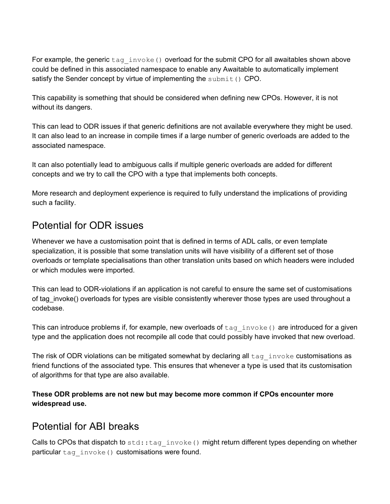For example, the generic  $\text{tag}$  invoke() overload for the submit CPO for all awaitables shown above could be defined in this associated namespace to enable any Awaitable to automatically implement satisfy the Sender concept by virtue of implementing the submit () CPO.

This capability is something that should be considered when defining new CPOs. However, it is not without its dangers.

This can lead to ODR issues if that generic definitions are not available everywhere they might be used. It can also lead to an increase in compile times if a large number of generic overloads are added to the associated namespace.

It can also potentially lead to ambiguous calls if multiple generic overloads are added for different concepts and we try to call the CPO with a type that implements both concepts.

More research and deployment experience is required to fully understand the implications of providing such a facility.

### Potential for ODR issues

Whenever we have a customisation point that is defined in terms of ADL calls, or even template specialization, it is possible that some translation units will have visibility of a different set of those overloads or template specialisations than other translation units based on which headers were included or which modules were imported.

This can lead to ODR-violations if an application is not careful to ensure the same set of customisations of tag\_invoke() overloads for types are visible consistently wherever those types are used throughout a codebase.

This can introduce problems if, for example, new overloads of  $tag$  invoke() are introduced for a given type and the application does not recompile all code that could possibly have invoked that new overload.

The risk of ODR violations can be mitigated somewhat by declaring all  $\text{tag}$  invoke customisations as friend functions of the associated type. This ensures that whenever a type is used that its customisation of algorithms for that type are also available.

**These ODR problems are not new but may become more common if CPOs encounter more widespread use.**

### Potential for ABI breaks

Calls to CPOs that dispatch to std::tag\_invoke() might return different types depending on whether particular tag\_invoke() customisations were found.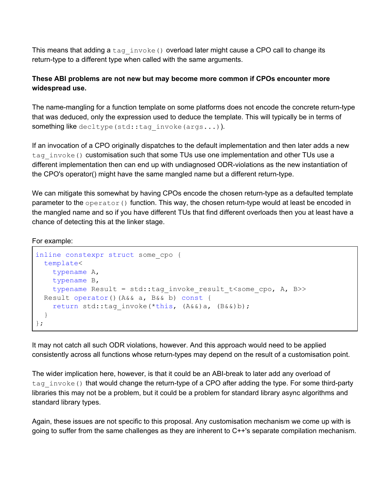This means that adding a  $tag$  invoke() overload later might cause a CPO call to change its return-type to a different type when called with the same arguments.

#### **These ABI problems are not new but may become more common if CPOs encounter more widespread use.**

The name-mangling for a function template on some platforms does not encode the concrete return-type that was deduced, only the expression used to deduce the template. This will typically be in terms of something like decltype (std::tag\_invoke(args...)).

If an invocation of a CPO originally dispatches to the default implementation and then later adds a new tag invoke() customisation such that some TUs use one implementation and other TUs use a different implementation then can end up with undiagnosed ODR-violations as the new instantiation of the CPO's operator() might have the same mangled name but a different return-type.

We can mitigate this somewhat by having CPOs encode the chosen return-type as a defaulted template parameter to the operator() function. This way, the chosen return-type would at least be encoded in the mangled name and so if you have different TUs that find different overloads then you at least have a chance of detecting this at the linker stage.

For example:

```
inline constexpr struct some_cpo {
  template<
   typename A,
   typename B,
    typename Result = std::tag_invoke_result_t<some_cpo, A, B>>
 Result operator()(A&& a, B&& b) const {
    return std::tag_invoke(*this, (A&&)a, (B&&)b);
  }
};
```
It may not catch all such ODR violations, however. And this approach would need to be applied consistently across all functions whose return-types may depend on the result of a customisation point.

The wider implication here, however, is that it could be an ABI-break to later add any overload of tag invoke() that would change the return-type of a CPO after adding the type. For some third-party libraries this may not be a problem, but it could be a problem for standard library async algorithms and standard library types.

Again, these issues are not specific to this proposal. Any customisation mechanism we come up with is going to suffer from the same challenges as they are inherent to C++'s separate compilation mechanism.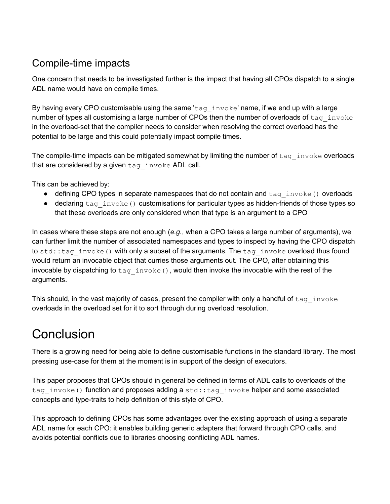## Compile-time impacts

One concern that needs to be investigated further is the impact that having all CPOs dispatch to a single ADL name would have on compile times.

By having every CPO customisable using the same 'tag  $invoke'$  name, if we end up with a large number of types all customising a large number of CPOs then the number of overloads of  $\text{tag} \text{invoke}$ in the overload-set that the compiler needs to consider when resolving the correct overload has the potential to be large and this could potentially impact compile times.

The compile-time impacts can be mitigated somewhat by limiting the number of  $\text{tag}$  invoke overloads that are considered by a given tag invoke ADL call.

This can be achieved by:

- defining CPO types in separate namespaces that do not contain and  $\text{tag}$  invoke() overloads
- declaring  $\text{tag}$  invoke() customisations for particular types as hidden-friends of those types so that these overloads are only considered when that type is an argument to a CPO

In cases where these steps are not enough (*e.g.*, when a CPO takes a large number of arguments), we can further limit the number of associated namespaces and types to inspect by having the CPO dispatch to std::tag\_invoke() with only a subset of the arguments. The tag\_invoke overload thus found would return an invocable object that curries those arguments out. The CPO, after obtaining this invocable by dispatching to  $\text{tag}$  invoke(), would then invoke the invocable with the rest of the arguments.

This should, in the vast majority of cases, present the compiler with only a handful of  $\text{tag} \text{invoke}$ overloads in the overload set for it to sort through during overload resolution.

## **Conclusion**

There is a growing need for being able to define customisable functions in the standard library. The most pressing use-case for them at the moment is in support of the design of executors.

This paper proposes that CPOs should in general be defined in terms of ADL calls to overloads of the tag invoke() function and proposes adding a std::tag invoke helper and some associated concepts and type-traits to help definition of this style of CPO.

This approach to defining CPOs has some advantages over the existing approach of using a separate ADL name for each CPO: it enables building generic adapters that forward through CPO calls, and avoids potential conflicts due to libraries choosing conflicting ADL names.